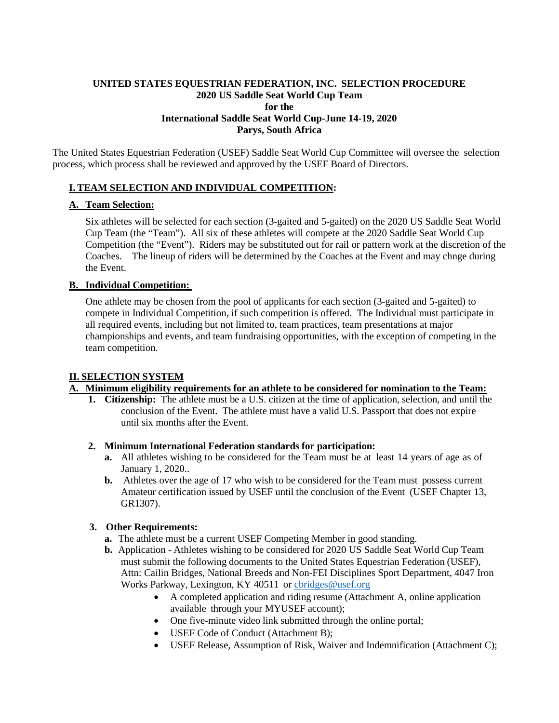## **UNITED STATES EQUESTRIAN FEDERATION, INC. SELECTION PROCEDURE 2020 US Saddle Seat World Cup Team for the International Saddle Seat World Cup-June 14-19, 2020 Parys, South Africa**

The United States Equestrian Federation (USEF) Saddle Seat World Cup Committee will oversee the selection process, which process shall be reviewed and approved by the USEF Board of Directors.

# **I. TEAM SELECTION AND INDIVIDUAL COMPETITION:**

## **A. Team Selection:**

Six athletes will be selected for each section (3-gaited and 5-gaited) on the 2020 US Saddle Seat World Cup Team (the "Team"). All six of these athletes will compete at the 2020 Saddle Seat World Cup Competition (the "Event"). Riders may be substituted out for rail or pattern work at the discretion of the Coaches. The lineup of riders will be determined by the Coaches at the Event and may chnge during the Event.

## **B. Individual Competition:**

One athlete may be chosen from the pool of applicants for each section (3-gaited and 5-gaited) to compete in Individual Competition, if such competition is offered. The Individual must participate in all required events, including but not limited to, team practices, team presentations at major championships and events, and team fundraising opportunities, with the exception of competing in the team competition.

## **II. SELECTION SYSTEM**

## **A. Minimum eligibility requirements for an athlete to be considered for nomination to the Team:**

- **1. Citizenship:** The athlete must be a U.S. citizen at the time of application, selection, and until the conclusion of the Event. The athlete must have a valid U.S. Passport that does not expire until six months after the Event.
- **2. Minimum International Federation standards for participation:**
	- **a.** All athletes wishing to be considered for the Team must be at least 14 years of age as of January 1, 2020..
	- **b.** Athletes over the age of 17 who wish to be considered for the Team must possess current Amateur certification issued by USEF until the conclusion of the Event (USEF Chapter 13, GR1307).

## **3. Other Requirements:**

- **a.** The athlete must be a current USEF Competing Member in good standing.
- **b.** Application Athletes wishing to be considered for 2020 US Saddle Seat World Cup Team must submit the following documents to the United States Equestrian Federation (USEF), Attn: Cailin Bridges, National Breeds and Non-FEI Disciplines Sport Department, 4047 Iron Works Parkway, Lexington, KY 40511 or [cbridges@usef.org](mailto:cbridges@usef.org)
	- A completed application and riding resume (Attachment A, online application available through your MYUSEF account);
	- One five-minute video link submitted through the online portal;
	- USEF Code of Conduct (Attachment B);
	- USEF Release, Assumption of Risk, Waiver and Indemnification (Attachment C);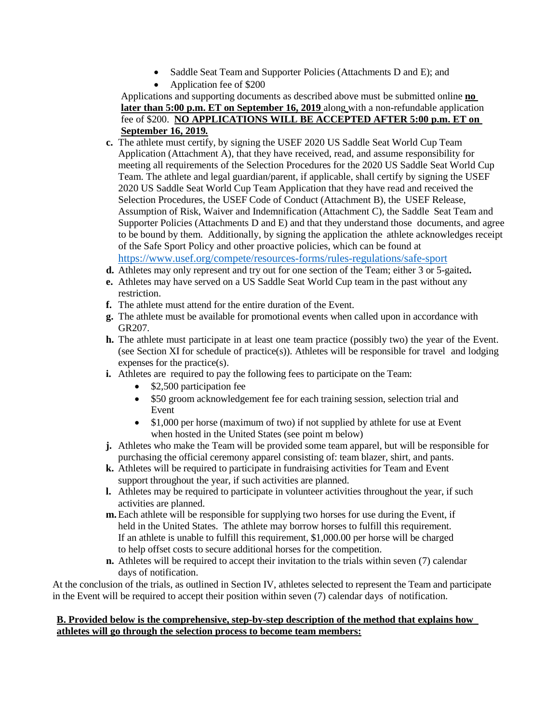- Saddle Seat Team and Supporter Policies (Attachments D and E); and
- Application fee of \$200

Applications and supporting documents as described above must be submitted online **no later than 5:00 p.m. ET on September 16, 2019** along with a non-refundable application fee of \$200. **NO APPLICATIONS WILL BE ACCEPTED AFTER 5:00 p.m. ET on September 16, 2019***.*

- **c.** The athlete must certify, by signing the USEF 2020 US Saddle Seat World Cup Team Application (Attachment A), that they have received, read, and assume responsibility for meeting all requirements of the Selection Procedures for the 2020 US Saddle Seat World Cup Team. The athlete and legal guardian/parent, if applicable, shall certify by signing the USEF 2020 US Saddle Seat World Cup Team Application that they have read and received the Selection Procedures, the USEF Code of Conduct (Attachment B), the USEF Release, Assumption of Risk, Waiver and Indemnification (Attachment C), the Saddle Seat Team and Supporter Policies (Attachments D and E) and that they understand those documents, and agree to be bound by them. Additionally, by signing the application the athlete acknowledges receipt of the Safe Sport Policy and other proactive policies, which can be found at <https://www.usef.org/compete/resources-forms/rules-regulations/safe-sport>
- **d.** Athletes may only represent and try out for one section of the Team; either 3 or 5-gaited**.**
- **e.** Athletes may have served on a US Saddle Seat World Cup team in the past without any restriction.
- **f.** The athlete must attend for the entire duration of the Event.
- **g.** The athlete must be available for promotional events when called upon in accordance with GR207.
- **h.** The athlete must participate in at least one team practice (possibly two) the year of the Event. (see Section XI for schedule of practice(s)). Athletes will be responsible for travel and lodging expenses for the practice(s).
- **i.** Athletes are required to pay the following fees to participate on the Team:
	- \$2,500 participation fee
	- \$50 groom acknowledgement fee for each training session, selection trial and Event
	- \$1,000 per horse (maximum of two) if not supplied by athlete for use at Event when hosted in the United States (see point m below)
- **j.** Athletes who make the Team will be provided some team apparel, but will be responsible for purchasing the official ceremony apparel consisting of: team blazer, shirt, and pants.
- **k.** Athletes will be required to participate in fundraising activities for Team and Event support throughout the year, if such activities are planned.
- **l.** Athletes may be required to participate in volunteer activities throughout the year, if such activities are planned.
- **m.**Each athlete will be responsible for supplying two horses for use during the Event, if held in the United States. The athlete may borrow horses to fulfill this requirement. If an athlete is unable to fulfill this requirement, \$1,000.00 per horse will be charged to help offset costs to secure additional horses for the competition.
- **n.** Athletes will be required to accept their invitation to the trials within seven (7) calendar days of notification.

At the conclusion of the trials, as outlined in Section IV, athletes selected to represent the Team and participate in the Event will be required to accept their position within seven (7) calendar days of notification.

## **B. Provided below is the comprehensive, step-by-step description of the method that explains how athletes will go through the selection process to become team members:**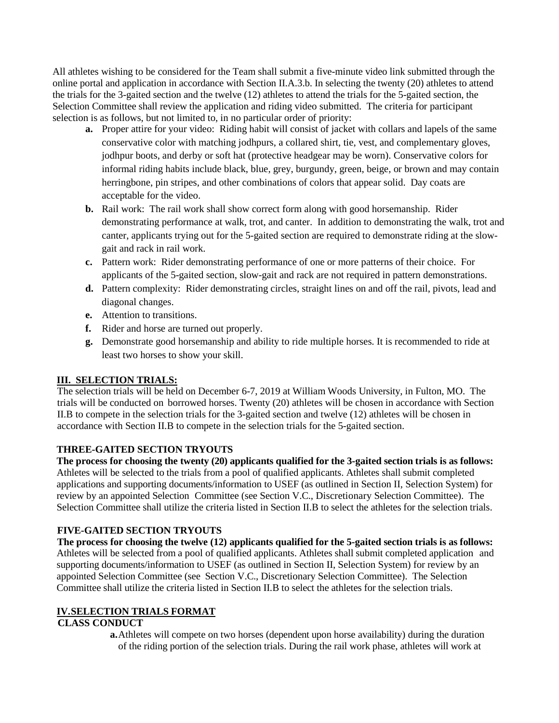All athletes wishing to be considered for the Team shall submit a five-minute video link submitted through the online portal and application in accordance with Section II.A.3.b. In selecting the twenty (20) athletes to attend the trials for the 3-gaited section and the twelve (12) athletes to attend the trials for the 5-gaited section, the Selection Committee shall review the application and riding video submitted. The criteria for participant selection is as follows, but not limited to, in no particular order of priority:

- **a.** Proper attire for your video: Riding habit will consist of jacket with collars and lapels of the same conservative color with matching jodhpurs, a collared shirt, tie, vest, and complementary gloves, jodhpur boots, and derby or soft hat (protective headgear may be worn). Conservative colors for informal riding habits include black, blue, grey, burgundy, green, beige, or brown and may contain herringbone, pin stripes, and other combinations of colors that appear solid. Day coats are acceptable for the video.
- **b.** Rail work: The rail work shall show correct form along with good horsemanship. Rider demonstrating performance at walk, trot, and canter. In addition to demonstrating the walk, trot and canter, applicants trying out for the 5-gaited section are required to demonstrate riding at the slowgait and rack in rail work.
- **c.** Pattern work: Rider demonstrating performance of one or more patterns of their choice. For applicants of the 5-gaited section, slow-gait and rack are not required in pattern demonstrations.
- **d.** Pattern complexity: Rider demonstrating circles, straight lines on and off the rail, pivots, lead and diagonal changes.
- **e.** Attention to transitions.
- **f.** Rider and horse are turned out properly.
- **g.** Demonstrate good horsemanship and ability to ride multiple horses. It is recommended to ride at least two horses to show your skill.

## **III. SELECTION TRIALS:**

The selection trials will be held on December 6-7, 2019 at William Woods University, in Fulton, MO. The trials will be conducted on borrowed horses. Twenty (20) athletes will be chosen in accordance with Section II.B to compete in the selection trials for the 3-gaited section and twelve (12) athletes will be chosen in accordance with Section II.B to compete in the selection trials for the 5-gaited section.

## **THREE-GAITED SECTION TRYOUTS**

**The process for choosing the twenty (20) applicants qualified for the 3-gaited section trials is as follows:** Athletes will be selected to the trials from a pool of qualified applicants. Athletes shall submit completed applications and supporting documents/information to USEF (as outlined in Section II, Selection System) for review by an appointed Selection Committee (see Section V.C., Discretionary Selection Committee). The Selection Committee shall utilize the criteria listed in Section II.B to select the athletes for the selection trials.

## **FIVE-GAITED SECTION TRYOUTS**

**The process for choosing the twelve (12) applicants qualified for the 5-gaited section trials is as follows:** Athletes will be selected from a pool of qualified applicants. Athletes shall submit completed application and supporting documents/information to USEF (as outlined in Section II, Selection System) for review by an appointed Selection Committee (see Section V.C., Discretionary Selection Committee). The Selection Committee shall utilize the criteria listed in Section II.B to select the athletes for the selection trials.

## **IV.SELECTION TRIALS FORMAT**

## **CLASS CONDUCT**

**a.**Athletes will compete on two horses (dependent upon horse availability) during the duration of the riding portion of the selection trials. During the rail work phase, athletes will work at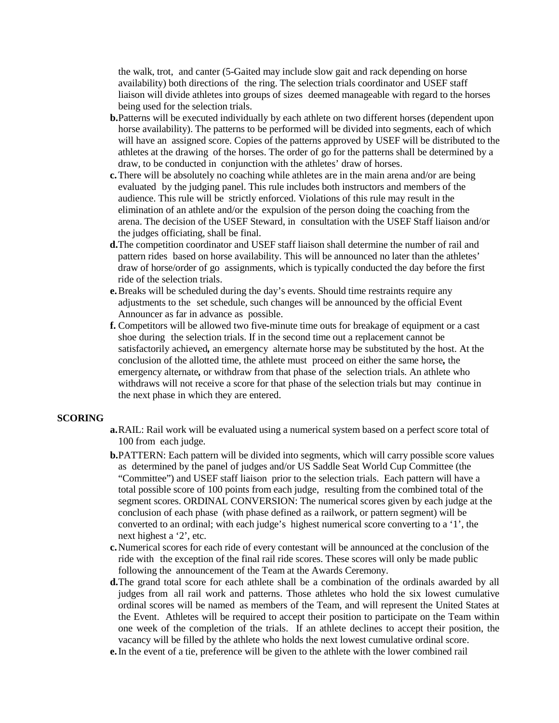the walk, trot, and canter (5-Gaited may include slow gait and rack depending on horse availability) both directions of the ring. The selection trials coordinator and USEF staff liaison will divide athletes into groups of sizes deemed manageable with regard to the horses being used for the selection trials.

- **b.**Patterns will be executed individually by each athlete on two different horses (dependent upon horse availability). The patterns to be performed will be divided into segments, each of which will have an assigned score. Copies of the patterns approved by USEF will be distributed to the athletes at the drawing of the horses. The order of go for the patterns shall be determined by a draw, to be conducted in conjunction with the athletes' draw of horses.
- **c.**There will be absolutely no coaching while athletes are in the main arena and/or are being evaluated by the judging panel. This rule includes both instructors and members of the audience. This rule will be strictly enforced. Violations of this rule may result in the elimination of an athlete and/or the expulsion of the person doing the coaching from the arena. The decision of the USEF Steward, in consultation with the USEF Staff liaison and/or the judges officiating, shall be final.
- **d.**The competition coordinator and USEF staff liaison shall determine the number of rail and pattern rides based on horse availability. This will be announced no later than the athletes' draw of horse/order of go assignments, which is typically conducted the day before the first ride of the selection trials.
- **e.**Breaks will be scheduled during the day's events. Should time restraints require any adjustments to the set schedule, such changes will be announced by the official Event Announcer as far in advance as possible.
- **f.** Competitors will be allowed two five*-*minute time outs for breakage of equipment or a cast shoe during the selection trials. If in the second time out a replacement cannot be satisfactorily achieved*,* an emergency alternate horse may be substituted by the host. At the conclusion of the allotted time, the athlete must proceed on either the same horse*,* the emergency alternate*,* or withdraw from that phase of the selection trials. An athlete who withdraws will not receive a score for that phase of the selection trials but may continue in the next phase in which they are entered.

#### **SCORING**

- **a.**RAIL: Rail work will be evaluated using a numerical system based on a perfect score total of 100 from each judge.
- **b.**PATTERN: Each pattern will be divided into segments, which will carry possible score values as determined by the panel of judges and/or US Saddle Seat World Cup Committee (the "Committee") and USEF staff liaison prior to the selection trials. Each pattern will have a total possible score of 100 points from each judge, resulting from the combined total of the segment scores. ORDINAL CONVERSION: The numerical scores given by each judge at the conclusion of each phase (with phase defined as a railwork, or pattern segment) will be converted to an ordinal; with each judge's highest numerical score converting to a '1', the next highest a '2', etc.
- **c.**Numerical scores for each ride of every contestant will be announced at the conclusion of the ride with the exception of the final rail ride scores. These scores will only be made public following the announcement of the Team at the Awards Ceremony.
- **d.**The grand total score for each athlete shall be a combination of the ordinals awarded by all judges from all rail work and patterns. Those athletes who hold the six lowest cumulative ordinal scores will be named as members of the Team, and will represent the United States at the Event. Athletes will be required to accept their position to participate on the Team within one week of the completion of the trials. If an athlete declines to accept their position, the vacancy will be filled by the athlete who holds the next lowest cumulative ordinal score.
- **e.**In the event of a tie, preference will be given to the athlete with the lower combined rail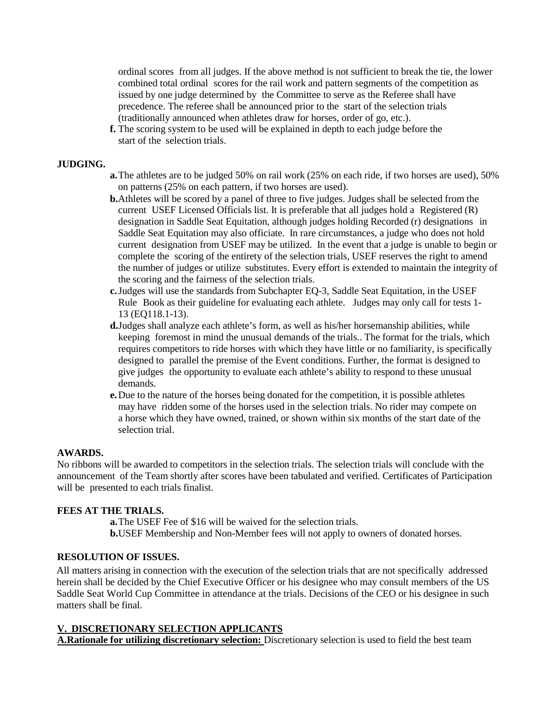ordinal scores from all judges. If the above method is not sufficient to break the tie, the lower combined total ordinal scores for the rail work and pattern segments of the competition as issued by one judge determined by the Committee to serve as the Referee shall have precedence. The referee shall be announced prior to the start of the selection trials (traditionally announced when athletes draw for horses, order of go, etc.).

**f.** The scoring system to be used will be explained in depth to each judge before the start of the selection trials.

### **JUDGING.**

- **a.**The athletes are to be judged 50% on rail work (25% on each ride, if two horses are used), 50% on patterns (25% on each pattern, if two horses are used).
- **b.**Athletes will be scored by a panel of three to five judges. Judges shall be selected from the current USEF Licensed Officials list. It is preferable that all judges hold a Registered (R) designation in Saddle Seat Equitation, although judges holding Recorded (r) designations in Saddle Seat Equitation may also officiate. In rare circumstances, a judge who does not hold current designation from USEF may be utilized. In the event that a judge is unable to begin or complete the scoring of the entirety of the selection trials, USEF reserves the right to amend the number of judges or utilize substitutes. Every effort is extended to maintain the integrity of the scoring and the fairness of the selection trials.
- **c.**Judges will use the standards from Subchapter EQ-3, Saddle Seat Equitation, in the USEF Rule Book as their guideline for evaluating each athlete. Judges may only call for tests 1- 13 (EQ118.1-13).
- **d.**Judges shall analyze each athlete's form, as well as his/her horsemanship abilities, while keeping foremost in mind the unusual demands of the trials.. The format for the trials, which requires competitors to ride horses with which they have little or no familiarity, is specifically designed to parallel the premise of the Event conditions. Further, the format is designed to give judges the opportunity to evaluate each athlete's ability to respond to these unusual demands.
- **e.**Due to the nature of the horses being donated for the competition, it is possible athletes may have ridden some of the horses used in the selection trials. No rider may compete on a horse which they have owned, trained, or shown within six months of the start date of the selection trial.

#### **AWARDS.**

No ribbons will be awarded to competitors in the selection trials. The selection trials will conclude with the announcement of the Team shortly after scores have been tabulated and verified. Certificates of Participation will be presented to each trials finalist.

## **FEES AT THE TRIALS.**

**a.**The USEF Fee of \$16 will be waived for the selection trials. **b.**USEF Membership and Non-Member fees will not apply to owners of donated horses.

## **RESOLUTION OF ISSUES.**

All matters arising in connection with the execution of the selection trials that are not specifically addressed herein shall be decided by the Chief Executive Officer or his designee who may consult members of the US Saddle Seat World Cup Committee in attendance at the trials. Decisions of the CEO or his designee in such matters shall be final.

### **V. DISCRETIONARY SELECTION APPLICANTS**

**A.Rationale for utilizing discretionary selection:** Discretionary selection is used to field the best team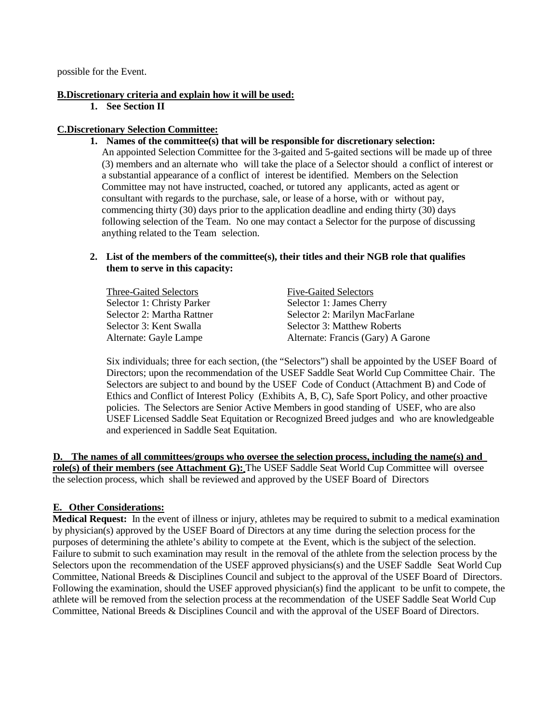possible for the Event.

### **B.Discretionary criteria and explain how it will be used:**

**1. See Section II**

### **C.Discretionary Selection Committee:**

**1. Names of the committee(s) that will be responsible for discretionary selection:**

An appointed Selection Committee for the 3-gaited and 5-gaited sections will be made up of three (3) members and an alternate who will take the place of a Selector should a conflict of interest or a substantial appearance of a conflict of interest be identified. Members on the Selection Committee may not have instructed, coached, or tutored any applicants, acted as agent or consultant with regards to the purchase, sale, or lease of a horse, with or without pay, commencing thirty (30) days prior to the application deadline and ending thirty (30) days following selection of the Team. No one may contact a Selector for the purpose of discussing anything related to the Team selection.

## **2. List of the members of the committee(s), their titles and their NGB role that qualifies them to serve in this capacity:**

Three-Gaited Selectors Five-Gaited Selectors Selector 1: Christy Parker Selector 1: James Cherry Selector 3: Kent Swalla Selector 3: Matthew Roberts

Selector 2: Martha Rattner Selector 2: Marilyn MacFarlane Alternate: Gayle Lampe Alternate: Francis (Gary) A Garone

Six individuals; three for each section, (the "Selectors") shall be appointed by the USEF Board of Directors; upon the recommendation of the USEF Saddle Seat World Cup Committee Chair. The Selectors are subject to and bound by the USEF Code of Conduct (Attachment B) and Code of Ethics and Conflict of Interest Policy (Exhibits A, B, C), Safe Sport Policy, and other proactive policies. The Selectors are Senior Active Members in good standing of USEF, who are also USEF Licensed Saddle Seat Equitation or Recognized Breed judges and who are knowledgeable and experienced in Saddle Seat Equitation.

**D. The names of all committees/groups who oversee the selection process, including the name(s) and role(s) of their members (see Attachment G):** The USEF Saddle Seat World Cup Committee will oversee the selection process, which shall be reviewed and approved by the USEF Board of Directors

## **E. Other Considerations:**

**Medical Request:** In the event of illness or injury, athletes may be required to submit to a medical examination by physician(s) approved by the USEF Board of Directors at any time during the selection process for the purposes of determining the athlete's ability to compete at the Event, which is the subject of the selection. Failure to submit to such examination may result in the removal of the athlete from the selection process by the Selectors upon the recommendation of the USEF approved physicians(s) and the USEF Saddle Seat World Cup Committee, National Breeds & Disciplines Council and subject to the approval of the USEF Board of Directors. Following the examination, should the USEF approved physician(s) find the applicant to be unfit to compete, the athlete will be removed from the selection process at the recommendation of the USEF Saddle Seat World Cup Committee, National Breeds & Disciplines Council and with the approval of the USEF Board of Directors.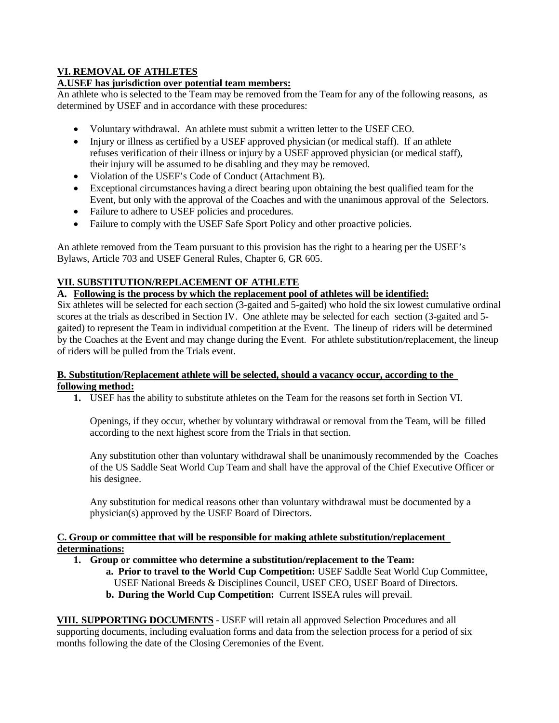# **VI. REMOVAL OF ATHLETES**

## **A.USEF has jurisdiction over potential team members:**

An athlete who is selected to the Team may be removed from the Team for any of the following reasons, as determined by USEF and in accordance with these procedures:

- Voluntary withdrawal. An athlete must submit a written letter to the USEF CEO.
- Injury or illness as certified by a USEF approved physician (or medical staff). If an athlete refuses verification of their illness or injury by a USEF approved physician (or medical staff), their injury will be assumed to be disabling and they may be removed.
- Violation of the USEF's Code of Conduct (Attachment B).
- Exceptional circumstances having a direct bearing upon obtaining the best qualified team for the Event, but only with the approval of the Coaches and with the unanimous approval of the Selectors.
- Failure to adhere to USEF policies and procedures.
- Failure to comply with the USEF Safe Sport Policy and other proactive policies.

An athlete removed from the Team pursuant to this provision has the right to a hearing per the USEF's Bylaws, Article 703 and USEF General Rules, Chapter 6, GR 605.

## **VII. SUBSTITUTION/REPLACEMENT OF ATHLETE**

## **A. Following is the process by which the replacement pool of athletes will be identified:**

Six athletes will be selected for each section (3-gaited and 5-gaited) who hold the six lowest cumulative ordinal scores at the trials as described in Section IV. One athlete may be selected for each section (3-gaited and 5 gaited) to represent the Team in individual competition at the Event. The lineup of riders will be determined by the Coaches at the Event and may change during the Event. For athlete substitution/replacement, the lineup of riders will be pulled from the Trials event.

## **B. Substitution/Replacement athlete will be selected, should a vacancy occur, according to the following method:**

**1.** USEF has the ability to substitute athletes on the Team for the reasons set forth in Section VI.

Openings, if they occur, whether by voluntary withdrawal or removal from the Team, will be filled according to the next highest score from the Trials in that section.

Any substitution other than voluntary withdrawal shall be unanimously recommended by the Coaches of the US Saddle Seat World Cup Team and shall have the approval of the Chief Executive Officer or his designee.

Any substitution for medical reasons other than voluntary withdrawal must be documented by a physician(s) approved by the USEF Board of Directors.

## **C. Group or committee that will be responsible for making athlete substitution/replacement determinations:**

- **1. Group or committee who determine a substitution/replacement to the Team:**
	- **a. Prior to travel to the World Cup Competition:** USEF Saddle Seat World Cup Committee, USEF National Breeds & Disciplines Council, USEF CEO, USEF Board of Directors.
	- **b. During the World Cup Competition:** Current ISSEA rules will prevail.

**VIII. SUPPORTING DOCUMENTS** - USEF will retain all approved Selection Procedures and all supporting documents, including evaluation forms and data from the selection process for a period of six months following the date of the Closing Ceremonies of the Event.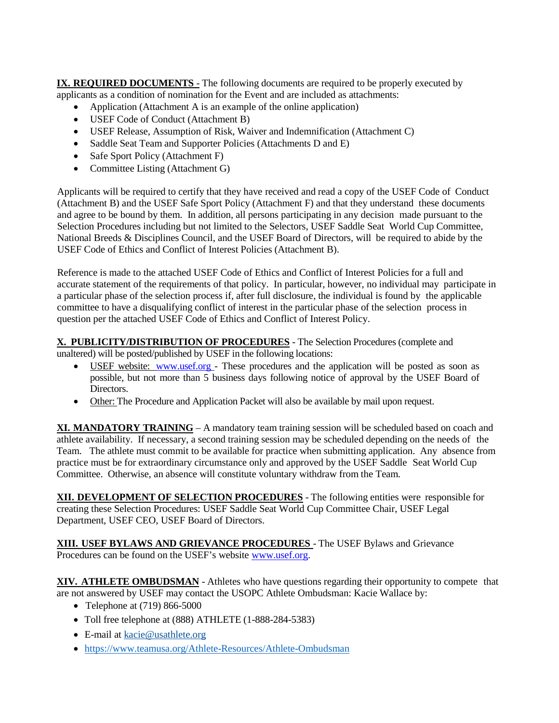**IX. REQUIRED DOCUMENTS** - The following documents are required to be properly executed by applicants as a condition of nomination for the Event and are included as attachments:

- Application (Attachment A is an example of the online application)
- USEF Code of Conduct (Attachment B)
- USEF Release, Assumption of Risk, Waiver and Indemnification (Attachment C)
- Saddle Seat Team and Supporter Policies (Attachments D and E)
- Safe Sport Policy (Attachment F)
- Committee Listing (Attachment G)

Applicants will be required to certify that they have received and read a copy of the USEF Code of Conduct (Attachment B) and the USEF Safe Sport Policy (Attachment F) and that they understand these documents and agree to be bound by them. In addition, all persons participating in any decision made pursuant to the Selection Procedures including but not limited to the Selectors, USEF Saddle Seat World Cup Committee, National Breeds & Disciplines Council, and the USEF Board of Directors, will be required to abide by the USEF Code of Ethics and Conflict of Interest Policies (Attachment B).

Reference is made to the attached USEF Code of Ethics and Conflict of Interest Policies for a full and accurate statement of the requirements of that policy. In particular, however, no individual may participate in a particular phase of the selection process if, after full disclosure, the individual is found by the applicable committee to have a disqualifying conflict of interest in the particular phase of the selection process in question per the attached USEF Code of Ethics and Conflict of Interest Policy.

**X. PUBLICITY/DISTRIBUTION OF PROCEDURES** - The Selection Procedures (complete and

unaltered) will be posted/published by USEF in the following locations:

- USEF website: [www.usef.org](http://www.usef.org/) These procedures and the application will be posted as soon as possible, but not more than 5 business days following notice of approval by the USEF Board of Directors.
- Other: The Procedure and Application Packet will also be available by mail upon request.

**XI. MANDATORY TRAINING** – A mandatory team training session will be scheduled based on coach and athlete availability. If necessary, a second training session may be scheduled depending on the needs of the Team. The athlete must commit to be available for practice when submitting application. Any absence from practice must be for extraordinary circumstance only and approved by the USEF Saddle Seat World Cup Committee. Otherwise, an absence will constitute voluntary withdraw from the Team.

**XII. DEVELOPMENT OF SELECTION PROCEDURES** - The following entities were responsible for creating these Selection Procedures: USEF Saddle Seat World Cup Committee Chair, USEF Legal Department, USEF CEO, USEF Board of Directors.

**XIII. USEF BYLAWS AND GRIEVANCE PROCEDURES** - The USEF Bylaws and Grievance Procedures can be found on the USEF's website [www.usef.org.](http://www.usef.org/)

**XIV. ATHLETE OMBUDSMAN** - Athletes who have questions regarding their opportunity to compete that are not answered by USEF may contact the USOPC Athlete Ombudsman: Kacie Wallace by:

- Telephone at (719) 866-5000
- Toll free telephone at (888) ATHLETE (1-888-284-5383)
- E-mail at [kacie@usathlete.org](mailto:kacie@usathlete.org)
- •<https://www.teamusa.org/Athlete-Resources/Athlete-Ombudsman>